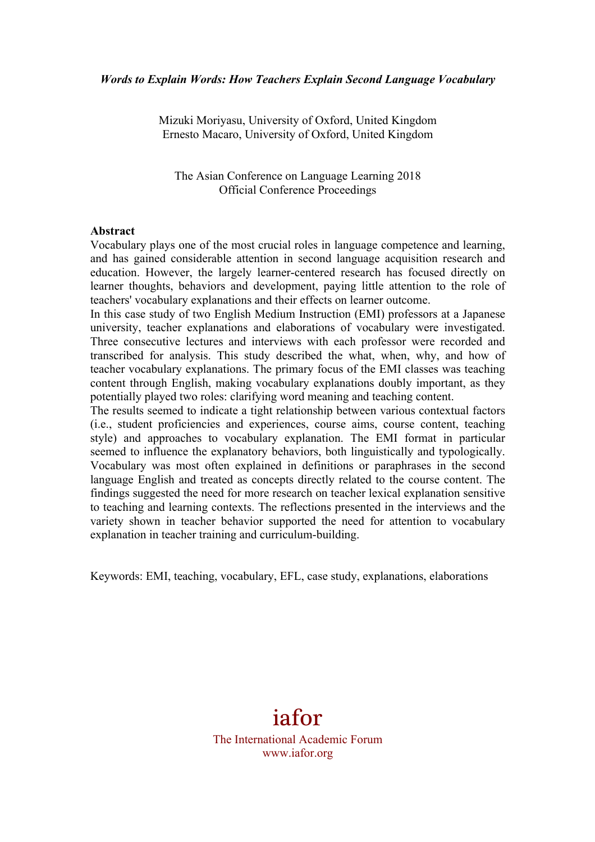Mizuki Moriyasu, University of Oxford, United Kingdom Ernesto Macaro, University of Oxford, United Kingdom

The Asian Conference on Language Learning 2018 Official Conference Proceedings

#### **Abstract**

Vocabulary plays one of the most crucial roles in language competence and learning, and has gained considerable attention in second language acquisition research and education. However, the largely learner-centered research has focused directly on learner thoughts, behaviors and development, paying little attention to the role of teachers' vocabulary explanations and their effects on learner outcome.

In this case study of two English Medium Instruction (EMI) professors at a Japanese university, teacher explanations and elaborations of vocabulary were investigated. Three consecutive lectures and interviews with each professor were recorded and transcribed for analysis. This study described the what, when, why, and how of teacher vocabulary explanations. The primary focus of the EMI classes was teaching content through English, making vocabulary explanations doubly important, as they potentially played two roles: clarifying word meaning and teaching content.

The results seemed to indicate a tight relationship between various contextual factors (i.e., student proficiencies and experiences, course aims, course content, teaching style) and approaches to vocabulary explanation. The EMI format in particular seemed to influence the explanatory behaviors, both linguistically and typologically. Vocabulary was most often explained in definitions or paraphrases in the second language English and treated as concepts directly related to the course content. The findings suggested the need for more research on teacher lexical explanation sensitive to teaching and learning contexts. The reflections presented in the interviews and the variety shown in teacher behavior supported the need for attention to vocabulary explanation in teacher training and curriculum-building.

Keywords: EMI, teaching, vocabulary, EFL, case study, explanations, elaborations

# iafor

The International Academic Forum www.iafor.org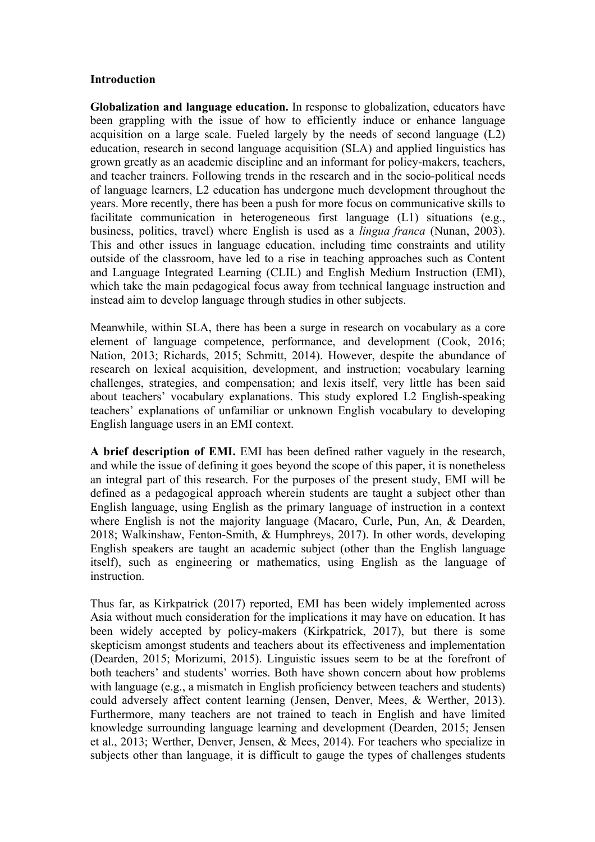## **Introduction**

**Globalization and language education.** In response to globalization, educators have been grappling with the issue of how to efficiently induce or enhance language acquisition on a large scale. Fueled largely by the needs of second language (L2) education, research in second language acquisition (SLA) and applied linguistics has grown greatly as an academic discipline and an informant for policy-makers, teachers, and teacher trainers. Following trends in the research and in the socio-political needs of language learners, L2 education has undergone much development throughout the years. More recently, there has been a push for more focus on communicative skills to facilitate communication in heterogeneous first language (L1) situations (e.g., business, politics, travel) where English is used as a *lingua franca* (Nunan, 2003). This and other issues in language education, including time constraints and utility outside of the classroom, have led to a rise in teaching approaches such as Content and Language Integrated Learning (CLIL) and English Medium Instruction (EMI), which take the main pedagogical focus away from technical language instruction and instead aim to develop language through studies in other subjects.

Meanwhile, within SLA, there has been a surge in research on vocabulary as a core element of language competence, performance, and development (Cook, 2016; Nation, 2013; Richards, 2015; Schmitt, 2014). However, despite the abundance of research on lexical acquisition, development, and instruction; vocabulary learning challenges, strategies, and compensation; and lexis itself, very little has been said about teachers' vocabulary explanations. This study explored L2 English-speaking teachers' explanations of unfamiliar or unknown English vocabulary to developing English language users in an EMI context.

**A brief description of EMI.** EMI has been defined rather vaguely in the research, and while the issue of defining it goes beyond the scope of this paper, it is nonetheless an integral part of this research. For the purposes of the present study, EMI will be defined as a pedagogical approach wherein students are taught a subject other than English language, using English as the primary language of instruction in a context where English is not the majority language (Macaro, Curle, Pun, An, & Dearden, 2018; Walkinshaw, Fenton-Smith, & Humphreys, 2017). In other words, developing English speakers are taught an academic subject (other than the English language itself), such as engineering or mathematics, using English as the language of **instruction** 

Thus far, as Kirkpatrick (2017) reported, EMI has been widely implemented across Asia without much consideration for the implications it may have on education. It has been widely accepted by policy-makers (Kirkpatrick, 2017), but there is some skepticism amongst students and teachers about its effectiveness and implementation (Dearden, 2015; Morizumi, 2015). Linguistic issues seem to be at the forefront of both teachers' and students' worries. Both have shown concern about how problems with language (e.g., a mismatch in English proficiency between teachers and students) could adversely affect content learning (Jensen, Denver, Mees, & Werther, 2013). Furthermore, many teachers are not trained to teach in English and have limited knowledge surrounding language learning and development (Dearden, 2015; Jensen et al., 2013; Werther, Denver, Jensen, & Mees, 2014). For teachers who specialize in subjects other than language, it is difficult to gauge the types of challenges students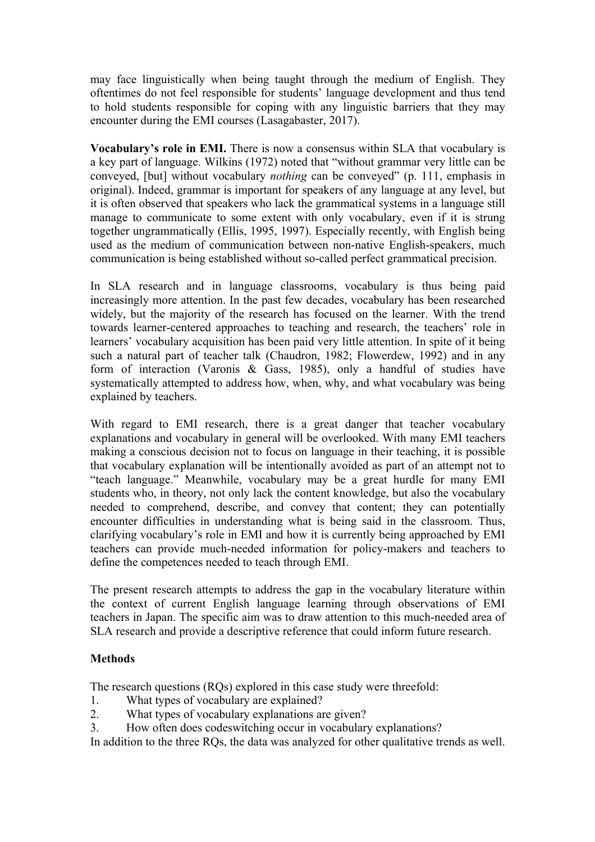may face linguistically when being taught through the medium of English. They oftentimes do not feel responsible for students' language development and thus tend to hold students responsible for coping with any linguistic barriers that they may encounter during the EMI courses (Lasagabaster, 2017).

**Vocabulary's role in EMI.** There is now a consensus within SLA that vocabulary is a key part of language. Wilkins (1972) noted that "without grammar very little can be conveyed, [but] without vocabulary *nothing* can be conveyed" (p. 111, emphasis in original). Indeed, grammar is important for speakers of any language at any level, but it is often observed that speakers who lack the grammatical systems in a language still manage to communicate to some extent with only vocabulary, even if it is strung together ungrammatically (Ellis, 1995, 1997). Especially recently, with English being used as the medium of communication between non-native English-speakers, much communication is being established without so-called perfect grammatical precision.

In SLA research and in language classrooms, vocabulary is thus being paid increasingly more attention. In the past few decades, vocabulary has been researched widely, but the majority of the research has focused on the learner. With the trend towards learner-centered approaches to teaching and research, the teachers' role in learners' vocabulary acquisition has been paid very little attention. In spite of it being such a natural part of teacher talk (Chaudron, 1982; Flowerdew, 1992) and in any form of interaction (Varonis & Gass, 1985), only a handful of studies have systematically attempted to address how, when, why, and what vocabulary was being explained by teachers.

With regard to EMI research, there is a great danger that teacher vocabulary explanations and vocabulary in general will be overlooked. With many EMI teachers making a conscious decision not to focus on language in their teaching, it is possible that vocabulary explanation will be intentionally avoided as part of an attempt not to "teach language." Meanwhile, vocabulary may be a great hurdle for many EMI students who, in theory, not only lack the content knowledge, but also the vocabulary needed to comprehend, describe, and convey that content; they can potentially encounter difficulties in understanding what is being said in the classroom. Thus, clarifying vocabulary's role in EMI and how it is currently being approached by EMI teachers can provide much-needed information for policy-makers and teachers to define the competences needed to teach through EMI.

The present research attempts to address the gap in the vocabulary literature within the context of current English language learning through observations of EMI teachers in Japan. The specific aim was to draw attention to this much-needed area of SLA research and provide a descriptive reference that could inform future research.

## **Methods**

The research questions (RQs) explored in this case study were threefold:

- 1. What types of vocabulary are explained?
- 2. What types of vocabulary explanations are given?
- 3. How often does codeswitching occur in vocabulary explanations?

In addition to the three RQs, the data was analyzed for other qualitative trends as well.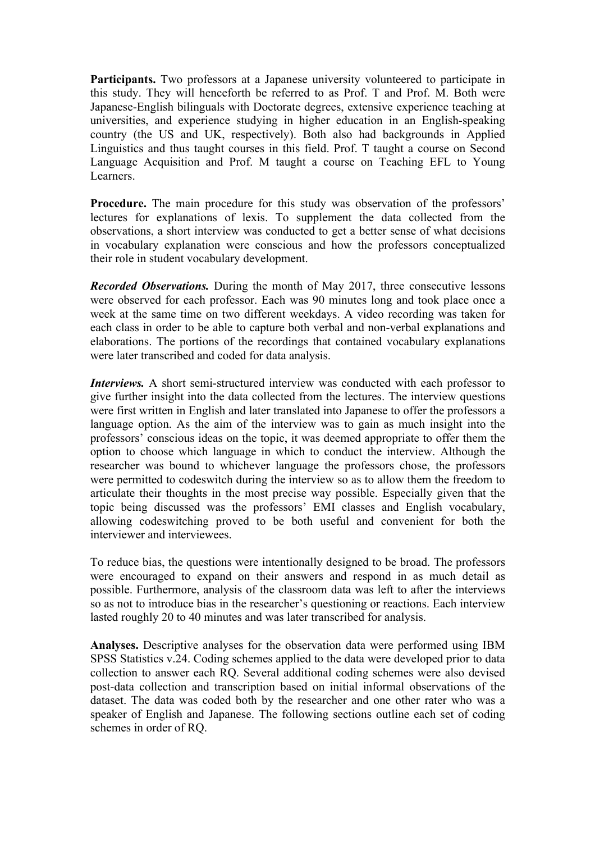**Participants.** Two professors at a Japanese university volunteered to participate in this study. They will henceforth be referred to as Prof. T and Prof. M. Both were Japanese-English bilinguals with Doctorate degrees, extensive experience teaching at universities, and experience studying in higher education in an English-speaking country (the US and UK, respectively). Both also had backgrounds in Applied Linguistics and thus taught courses in this field. Prof. T taught a course on Second Language Acquisition and Prof. M taught a course on Teaching EFL to Young Learners.

**Procedure.** The main procedure for this study was observation of the professors' lectures for explanations of lexis. To supplement the data collected from the observations, a short interview was conducted to get a better sense of what decisions in vocabulary explanation were conscious and how the professors conceptualized their role in student vocabulary development.

*Recorded Observations.* During the month of May 2017, three consecutive lessons were observed for each professor. Each was 90 minutes long and took place once a week at the same time on two different weekdays. A video recording was taken for each class in order to be able to capture both verbal and non-verbal explanations and elaborations. The portions of the recordings that contained vocabulary explanations were later transcribed and coded for data analysis.

*Interviews.* A short semi-structured interview was conducted with each professor to give further insight into the data collected from the lectures. The interview questions were first written in English and later translated into Japanese to offer the professors a language option. As the aim of the interview was to gain as much insight into the professors' conscious ideas on the topic, it was deemed appropriate to offer them the option to choose which language in which to conduct the interview. Although the researcher was bound to whichever language the professors chose, the professors were permitted to codeswitch during the interview so as to allow them the freedom to articulate their thoughts in the most precise way possible. Especially given that the topic being discussed was the professors' EMI classes and English vocabulary, allowing codeswitching proved to be both useful and convenient for both the interviewer and interviewees.

To reduce bias, the questions were intentionally designed to be broad. The professors were encouraged to expand on their answers and respond in as much detail as possible. Furthermore, analysis of the classroom data was left to after the interviews so as not to introduce bias in the researcher's questioning or reactions. Each interview lasted roughly 20 to 40 minutes and was later transcribed for analysis.

**Analyses.** Descriptive analyses for the observation data were performed using IBM SPSS Statistics v.24. Coding schemes applied to the data were developed prior to data collection to answer each RQ. Several additional coding schemes were also devised post-data collection and transcription based on initial informal observations of the dataset. The data was coded both by the researcher and one other rater who was a speaker of English and Japanese. The following sections outline each set of coding schemes in order of RQ.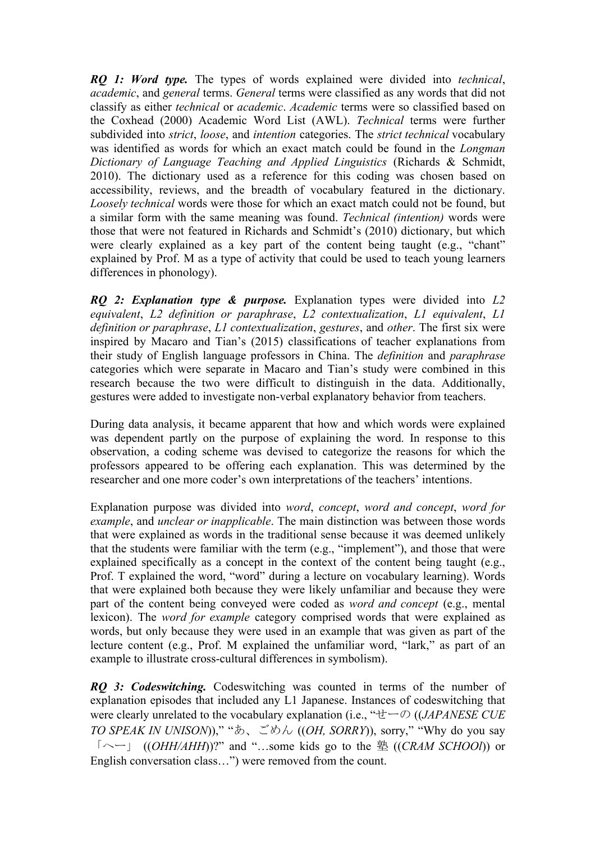*RQ 1: Word type.* The types of words explained were divided into *technical*, *academic*, and *general* terms. *General* terms were classified as any words that did not classify as either *technical* or *academic*. *Academic* terms were so classified based on the Coxhead (2000) Academic Word List (AWL). *Technical* terms were further subdivided into *strict*, *loose*, and *intention* categories. The *strict technical* vocabulary was identified as words for which an exact match could be found in the *Longman Dictionary of Language Teaching and Applied Linguistics* (Richards & Schmidt, 2010). The dictionary used as a reference for this coding was chosen based on accessibility, reviews, and the breadth of vocabulary featured in the dictionary. *Loosely technical* words were those for which an exact match could not be found, but a similar form with the same meaning was found. *Technical (intention)* words were those that were not featured in Richards and Schmidt's (2010) dictionary, but which were clearly explained as a key part of the content being taught (e.g., "chant" explained by Prof. M as a type of activity that could be used to teach young learners differences in phonology).

*RQ 2: Explanation type & purpose.* Explanation types were divided into *L2 equivalent*, *L2 definition or paraphrase*, *L2 contextualization*, *L1 equivalent*, *L1 definition or paraphrase*, *L1 contextualization*, *gestures*, and *other*. The first six were inspired by Macaro and Tian's (2015) classifications of teacher explanations from their study of English language professors in China. The *definition* and *paraphrase* categories which were separate in Macaro and Tian's study were combined in this research because the two were difficult to distinguish in the data. Additionally, gestures were added to investigate non-verbal explanatory behavior from teachers.

During data analysis, it became apparent that how and which words were explained was dependent partly on the purpose of explaining the word. In response to this observation, a coding scheme was devised to categorize the reasons for which the professors appeared to be offering each explanation. This was determined by the researcher and one more coder's own interpretations of the teachers' intentions.

Explanation purpose was divided into *word*, *concept*, *word and concept*, *word for example*, and *unclear or inapplicable*. The main distinction was between those words that were explained as words in the traditional sense because it was deemed unlikely that the students were familiar with the term (e.g., "implement"), and those that were explained specifically as a concept in the context of the content being taught (e.g., Prof. T explained the word, "word" during a lecture on vocabulary learning). Words that were explained both because they were likely unfamiliar and because they were part of the content being conveyed were coded as *word and concept* (e.g., mental lexicon). The *word for example* category comprised words that were explained as words, but only because they were used in an example that was given as part of the lecture content (e.g., Prof. M explained the unfamiliar word, "lark," as part of an example to illustrate cross-cultural differences in symbolism).

*RQ 3: Codeswitching.* Codeswitching was counted in terms of the number of explanation episodes that included any L1 Japanese. Instances of codeswitching that were clearly unrelated to the vocabulary explanation (i.e., "せーの ((*JAPANESE CUE TO SPEAK IN UNISON*))," "あ、ごめん ((*OH, SORRY*)), sorry," "Why do you say 「へー」 ((*OHH/AHH*))?" and "…some kids go to the 塾 ((*CRAM SCHOOl*)) or English conversation class…") were removed from the count.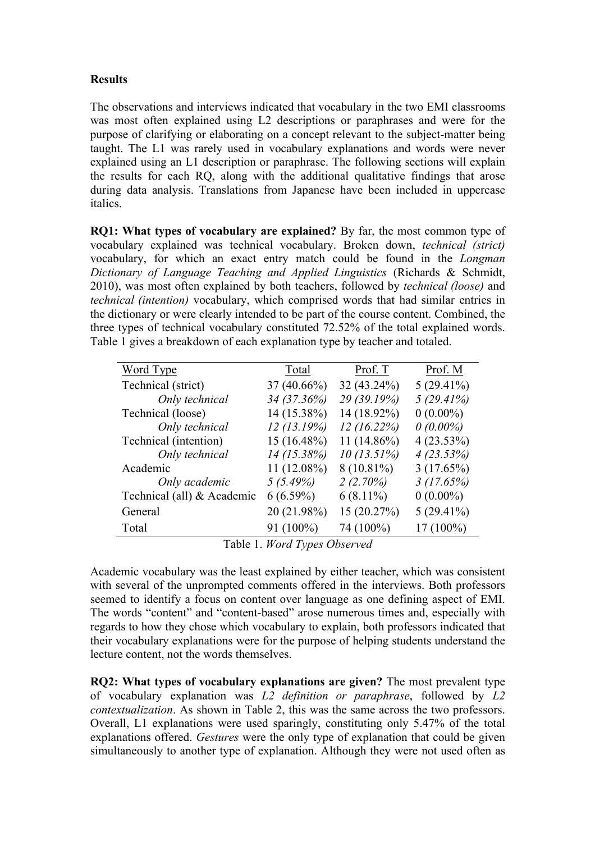# **Results**

The observations and interviews indicated that vocabulary in the two EMI classrooms was most often explained using L2 descriptions or paraphrases and were for the purpose of clarifying or elaborating on a concept relevant to the subject-matter being taught. The L1 was rarely used in vocabulary explanations and words were never explained using an L1 description or paraphrase. The following sections will explain the results for each RQ, along with the additional qualitative findings that arose during data analysis. Translations from Japanese have been included in uppercase italics.

**RQ1: What types of vocabulary are explained?** By far, the most common type of vocabulary explained was technical vocabulary. Broken down, *technical (strict)* vocabulary, for which an exact entry match could be found in the *Longman Dictionary of Language Teaching and Applied Linguistics* (Richards & Schmidt, 2010), was most often explained by both teachers, followed by *technical (loose)* and *technical (intention)* vocabulary, which comprised words that had similar entries in the dictionary or were clearly intended to be part of the course content. Combined, the three types of technical vocabulary constituted 72.52% of the total explained words. Table 1 gives a breakdown of each explanation type by teacher and totaled.

| Word Type                  | Total         | Prof. T        | Prof. M      |
|----------------------------|---------------|----------------|--------------|
| Technical (strict)         | $37(40.66\%)$ | 32 (43.24%)    | $5(29.41\%)$ |
| Only technical             | 34 (37.36%)   | 29 (39.19%)    | 5(29.41%)    |
| Technical (loose)          | 14 (15.38%)   | 14 (18.92%)    | $0(0.00\%)$  |
| Only technical             | 12(13.19%)    | 12(16.22%)     | $0(0.00\%)$  |
| Technical (intention)      | $15(16.48\%)$ | 11 $(14.86\%)$ | $4(23.53\%)$ |
| Only technical             | $14(15.38\%)$ | 10(13.51%)     | 4(23.53%)    |
| Academic                   | $11(12.08\%)$ | $8(10.81\%)$   | 3(17.65%)    |
| Only academic              | 5(5.49%)      | 2(2.70%)       | 3(17.65%)    |
| Technical (all) & Academic | $6(6.59\%)$   | $6(8.11\%)$    | $0(0.00\%)$  |
| General                    | 20 (21.98%)   | 15 (20.27%)    | $5(29.41\%)$ |
| Total                      | 91 (100%)     | 74 (100%)      | $17(100\%)$  |

Table 1. *Word Types Observed*

Academic vocabulary was the least explained by either teacher, which was consistent with several of the unprompted comments offered in the interviews. Both professors seemed to identify a focus on content over language as one defining aspect of EMI. The words "content" and "content-based" arose numerous times and, especially with regards to how they chose which vocabulary to explain, both professors indicated that their vocabulary explanations were for the purpose of helping students understand the lecture content, not the words themselves.

**RQ2: What types of vocabulary explanations are given?** The most prevalent type of vocabulary explanation was *L2 definition or paraphrase*, followed by *L2 contextualization*. As shown in Table 2, this was the same across the two professors. Overall, L1 explanations were used sparingly, constituting only 5.47% of the total explanations offered. *Gestures* were the only type of explanation that could be given simultaneously to another type of explanation. Although they were not used often as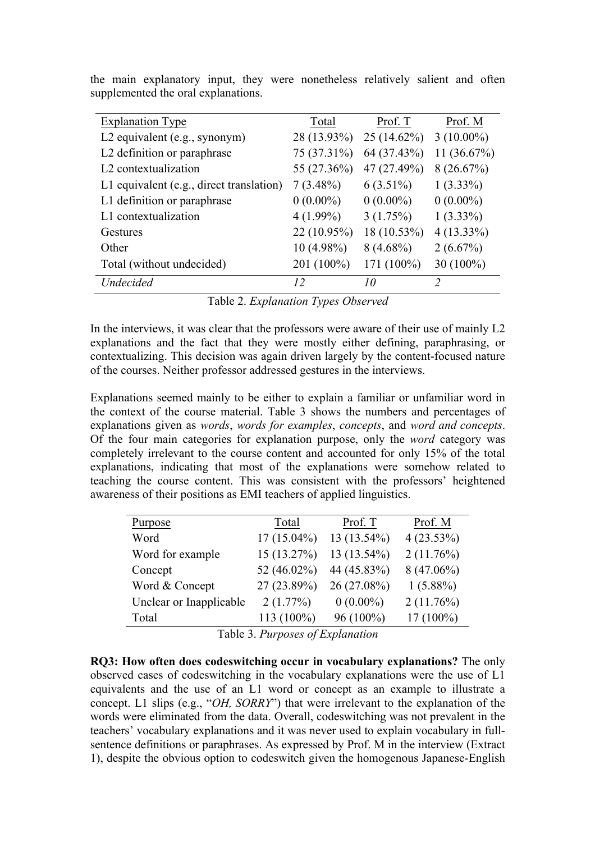| <b>Explanation Type</b>                    | Total        | Prof. T       | Prof. M        |
|--------------------------------------------|--------------|---------------|----------------|
| L2 equivalent (e.g., synonym)              | 28 (13.93%)  | $25(14.62\%)$ | $3(10.00\%)$   |
| L2 definition or paraphrase                | 75 (37.31%)  | 64 (37.43%)   | 11 $(36.67\%)$ |
| L <sub>2</sub> contextualization           | 55 (27.36%)  | 47 (27.49%)   | 8(26.67%)      |
| L1 equivalent $(e.g., direct translation)$ | $7(3.48\%)$  | $6(3.51\%)$   | $1(3.33\%)$    |
| L1 definition or paraphrase                | $0(0.00\%)$  | $0(0.00\%)$   | $0(0.00\%)$    |
| L1 contextualization                       | $4(1.99\%)$  | 3(1.75%)      | $1(3.33\%)$    |
| Gestures                                   | 22 (10.95%)  | 18 (10.53%)   | $4(13.33\%)$   |
| Other                                      | $10(4.98\%)$ | $8(4.68\%)$   | 2(6.67%)       |
| Total (without undecided)                  | 201 (100%)   | 171 (100%)    | 30 $(100\%)$   |
| <i>Undecided</i>                           | 12           | 10            | $\mathfrak{D}$ |

the main explanatory input, they were nonetheless relatively salient and often supplemented the oral explanations.

Table 2. *Explanation Types Observed*

In the interviews, it was clear that the professors were aware of their use of mainly L2 explanations and the fact that they were mostly either defining, paraphrasing, or contextualizing. This decision was again driven largely by the content-focused nature of the courses. Neither professor addressed gestures in the interviews.

Explanations seemed mainly to be either to explain a familiar or unfamiliar word in the context of the course material. Table 3 shows the numbers and percentages of explanations given as *words*, *words for examples*, *concepts*, and *word and concepts*. Of the four main categories for explanation purpose, only the *word* category was completely irrelevant to the course content and accounted for only 15% of the total explanations, indicating that most of the explanations were somehow related to teaching the course content. This was consistent with the professors' heightened awareness of their positions as EMI teachers of applied linguistics.

| Prof. M      |
|--------------|
|              |
| 4(23.53%)    |
| 2(11.76%)    |
| $8(47.06\%)$ |
| $1(5.88\%)$  |
| 2(11.76%)    |
| $17(100\%)$  |
|              |

Table 3. *Purposes of Explanation*

**RQ3: How often does codeswitching occur in vocabulary explanations?** The only observed cases of codeswitching in the vocabulary explanations were the use of L1 equivalents and the use of an L1 word or concept as an example to illustrate a concept. L1 slips (e.g., "*OH, SORRY*") that were irrelevant to the explanation of the words were eliminated from the data. Overall, codeswitching was not prevalent in the teachers' vocabulary explanations and it was never used to explain vocabulary in fullsentence definitions or paraphrases. As expressed by Prof. M in the interview (Extract 1), despite the obvious option to codeswitch given the homogenous Japanese-English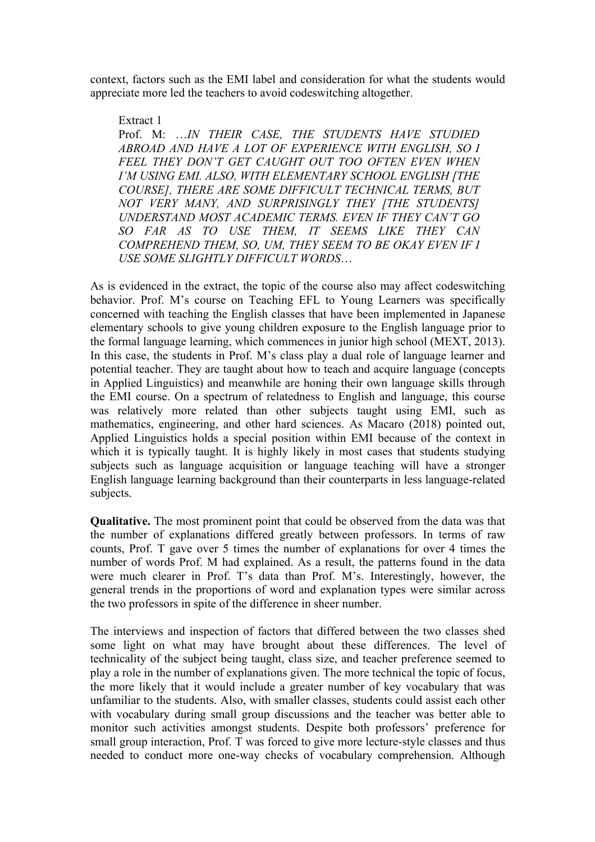context, factors such as the EMI label and consideration for what the students would appreciate more led the teachers to avoid codeswitching altogether.

Extract 1

Prof. M: …*IN THEIR CASE, THE STUDENTS HAVE STUDIED ABROAD AND HAVE A LOT OF EXPERIENCE WITH ENGLISH, SO I FEEL THEY DON'T GET CAUGHT OUT TOO OFTEN EVEN WHEN I'M USING EMI. ALSO, WITH ELEMENTARY SCHOOL ENGLISH [THE COURSE], THERE ARE SOME DIFFICULT TECHNICAL TERMS, BUT NOT VERY MANY, AND SURPRISINGLY THEY [THE STUDENTS] UNDERSTAND MOST ACADEMIC TERMS. EVEN IF THEY CAN'T GO SO FAR AS TO USE THEM, IT SEEMS LIKE THEY CAN COMPREHEND THEM, SO, UM, THEY SEEM TO BE OKAY EVEN IF I USE SOME SLIGHTLY DIFFICULT WORDS*…

As is evidenced in the extract, the topic of the course also may affect codeswitching behavior. Prof. M's course on Teaching EFL to Young Learners was specifically concerned with teaching the English classes that have been implemented in Japanese elementary schools to give young children exposure to the English language prior to the formal language learning, which commences in junior high school (MEXT, 2013). In this case, the students in Prof. M's class play a dual role of language learner and potential teacher. They are taught about how to teach and acquire language (concepts in Applied Linguistics) and meanwhile are honing their own language skills through the EMI course. On a spectrum of relatedness to English and language, this course was relatively more related than other subjects taught using EMI, such as mathematics, engineering, and other hard sciences. As Macaro (2018) pointed out, Applied Linguistics holds a special position within EMI because of the context in which it is typically taught. It is highly likely in most cases that students studying subjects such as language acquisition or language teaching will have a stronger English language learning background than their counterparts in less language-related subjects.

**Qualitative.** The most prominent point that could be observed from the data was that the number of explanations differed greatly between professors. In terms of raw counts, Prof. T gave over 5 times the number of explanations for over 4 times the number of words Prof. M had explained. As a result, the patterns found in the data were much clearer in Prof. T's data than Prof. M's. Interestingly, however, the general trends in the proportions of word and explanation types were similar across the two professors in spite of the difference in sheer number.

The interviews and inspection of factors that differed between the two classes shed some light on what may have brought about these differences. The level of technicality of the subject being taught, class size, and teacher preference seemed to play a role in the number of explanations given. The more technical the topic of focus, the more likely that it would include a greater number of key vocabulary that was unfamiliar to the students. Also, with smaller classes, students could assist each other with vocabulary during small group discussions and the teacher was better able to monitor such activities amongst students. Despite both professors' preference for small group interaction, Prof. T was forced to give more lecture-style classes and thus needed to conduct more one-way checks of vocabulary comprehension. Although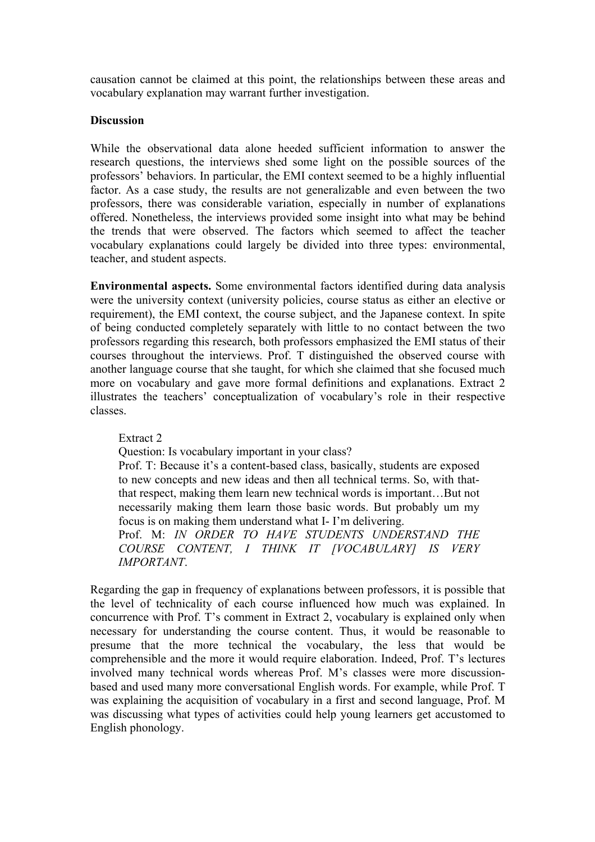causation cannot be claimed at this point, the relationships between these areas and vocabulary explanation may warrant further investigation.

## **Discussion**

While the observational data alone heeded sufficient information to answer the research questions, the interviews shed some light on the possible sources of the professors' behaviors. In particular, the EMI context seemed to be a highly influential factor. As a case study, the results are not generalizable and even between the two professors, there was considerable variation, especially in number of explanations offered. Nonetheless, the interviews provided some insight into what may be behind the trends that were observed. The factors which seemed to affect the teacher vocabulary explanations could largely be divided into three types: environmental, teacher, and student aspects.

**Environmental aspects.** Some environmental factors identified during data analysis were the university context (university policies, course status as either an elective or requirement), the EMI context, the course subject, and the Japanese context. In spite of being conducted completely separately with little to no contact between the two professors regarding this research, both professors emphasized the EMI status of their courses throughout the interviews. Prof. T distinguished the observed course with another language course that she taught, for which she claimed that she focused much more on vocabulary and gave more formal definitions and explanations. Extract 2 illustrates the teachers' conceptualization of vocabulary's role in their respective classes.

Extract 2

Question: Is vocabulary important in your class?

Prof. T: Because it's a content-based class, basically, students are exposed to new concepts and new ideas and then all technical terms. So, with thatthat respect, making them learn new technical words is important…But not necessarily making them learn those basic words. But probably um my focus is on making them understand what I- I'm delivering.

Prof. M: *IN ORDER TO HAVE STUDENTS UNDERSTAND THE COURSE CONTENT, I THINK IT [VOCABULARY] IS VERY IMPORTANT*.

Regarding the gap in frequency of explanations between professors, it is possible that the level of technicality of each course influenced how much was explained. In concurrence with Prof. T's comment in Extract 2, vocabulary is explained only when necessary for understanding the course content. Thus, it would be reasonable to presume that the more technical the vocabulary, the less that would be comprehensible and the more it would require elaboration. Indeed, Prof. T's lectures involved many technical words whereas Prof. M's classes were more discussionbased and used many more conversational English words. For example, while Prof. T was explaining the acquisition of vocabulary in a first and second language, Prof. M was discussing what types of activities could help young learners get accustomed to English phonology.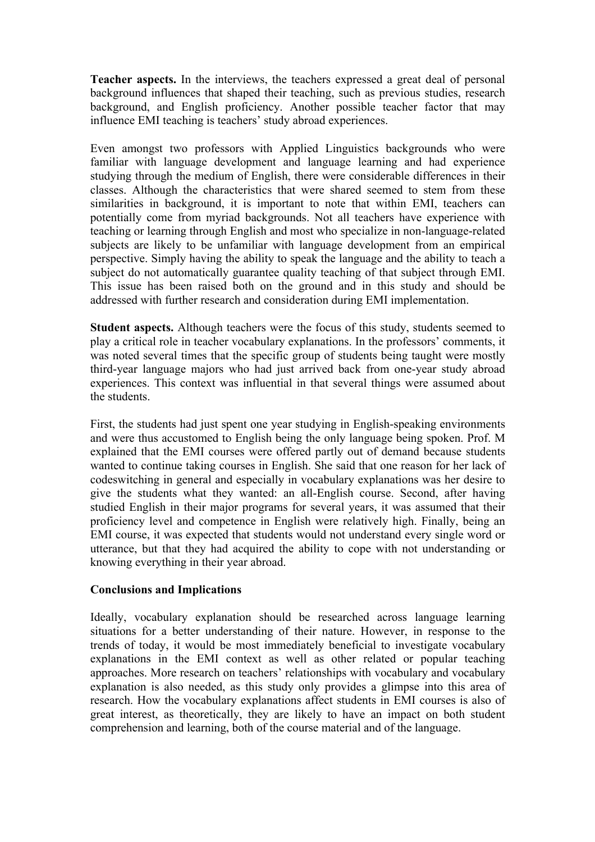**Teacher aspects.** In the interviews, the teachers expressed a great deal of personal background influences that shaped their teaching, such as previous studies, research background, and English proficiency. Another possible teacher factor that may influence EMI teaching is teachers' study abroad experiences.

Even amongst two professors with Applied Linguistics backgrounds who were familiar with language development and language learning and had experience studying through the medium of English, there were considerable differences in their classes. Although the characteristics that were shared seemed to stem from these similarities in background, it is important to note that within EMI, teachers can potentially come from myriad backgrounds. Not all teachers have experience with teaching or learning through English and most who specialize in non-language-related subjects are likely to be unfamiliar with language development from an empirical perspective. Simply having the ability to speak the language and the ability to teach a subject do not automatically guarantee quality teaching of that subject through EMI. This issue has been raised both on the ground and in this study and should be addressed with further research and consideration during EMI implementation.

**Student aspects.** Although teachers were the focus of this study, students seemed to play a critical role in teacher vocabulary explanations. In the professors' comments, it was noted several times that the specific group of students being taught were mostly third-year language majors who had just arrived back from one-year study abroad experiences. This context was influential in that several things were assumed about the students.

First, the students had just spent one year studying in English-speaking environments and were thus accustomed to English being the only language being spoken. Prof. M explained that the EMI courses were offered partly out of demand because students wanted to continue taking courses in English. She said that one reason for her lack of codeswitching in general and especially in vocabulary explanations was her desire to give the students what they wanted: an all-English course. Second, after having studied English in their major programs for several years, it was assumed that their proficiency level and competence in English were relatively high. Finally, being an EMI course, it was expected that students would not understand every single word or utterance, but that they had acquired the ability to cope with not understanding or knowing everything in their year abroad.

## **Conclusions and Implications**

Ideally, vocabulary explanation should be researched across language learning situations for a better understanding of their nature. However, in response to the trends of today, it would be most immediately beneficial to investigate vocabulary explanations in the EMI context as well as other related or popular teaching approaches. More research on teachers' relationships with vocabulary and vocabulary explanation is also needed, as this study only provides a glimpse into this area of research. How the vocabulary explanations affect students in EMI courses is also of great interest, as theoretically, they are likely to have an impact on both student comprehension and learning, both of the course material and of the language.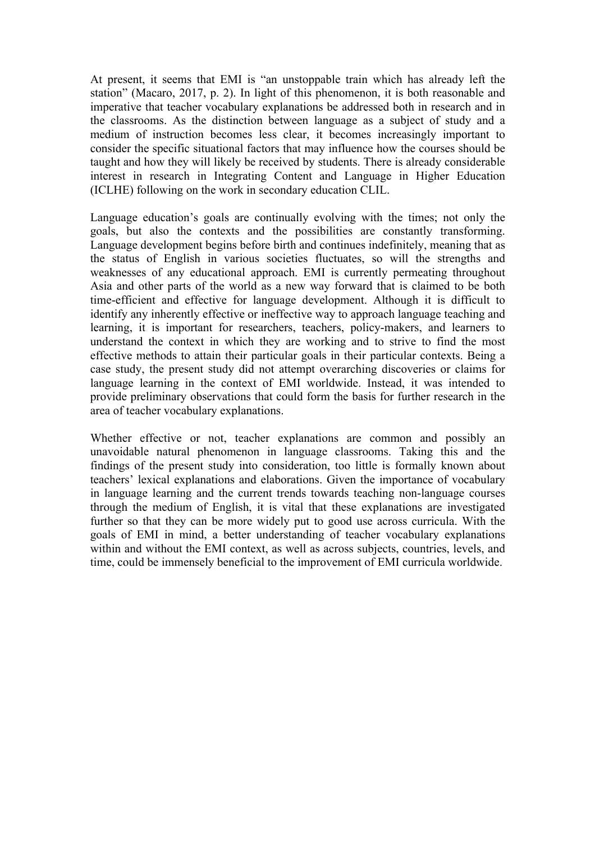At present, it seems that EMI is "an unstoppable train which has already left the station" (Macaro, 2017, p. 2). In light of this phenomenon, it is both reasonable and imperative that teacher vocabulary explanations be addressed both in research and in the classrooms. As the distinction between language as a subject of study and a medium of instruction becomes less clear, it becomes increasingly important to consider the specific situational factors that may influence how the courses should be taught and how they will likely be received by students. There is already considerable interest in research in Integrating Content and Language in Higher Education (ICLHE) following on the work in secondary education CLIL.

Language education's goals are continually evolving with the times; not only the goals, but also the contexts and the possibilities are constantly transforming. Language development begins before birth and continues indefinitely, meaning that as the status of English in various societies fluctuates, so will the strengths and weaknesses of any educational approach. EMI is currently permeating throughout Asia and other parts of the world as a new way forward that is claimed to be both time-efficient and effective for language development. Although it is difficult to identify any inherently effective or ineffective way to approach language teaching and learning, it is important for researchers, teachers, policy-makers, and learners to understand the context in which they are working and to strive to find the most effective methods to attain their particular goals in their particular contexts. Being a case study, the present study did not attempt overarching discoveries or claims for language learning in the context of EMI worldwide. Instead, it was intended to provide preliminary observations that could form the basis for further research in the area of teacher vocabulary explanations.

Whether effective or not, teacher explanations are common and possibly an unavoidable natural phenomenon in language classrooms. Taking this and the findings of the present study into consideration, too little is formally known about teachers' lexical explanations and elaborations. Given the importance of vocabulary in language learning and the current trends towards teaching non-language courses through the medium of English, it is vital that these explanations are investigated further so that they can be more widely put to good use across curricula. With the goals of EMI in mind, a better understanding of teacher vocabulary explanations within and without the EMI context, as well as across subjects, countries, levels, and time, could be immensely beneficial to the improvement of EMI curricula worldwide.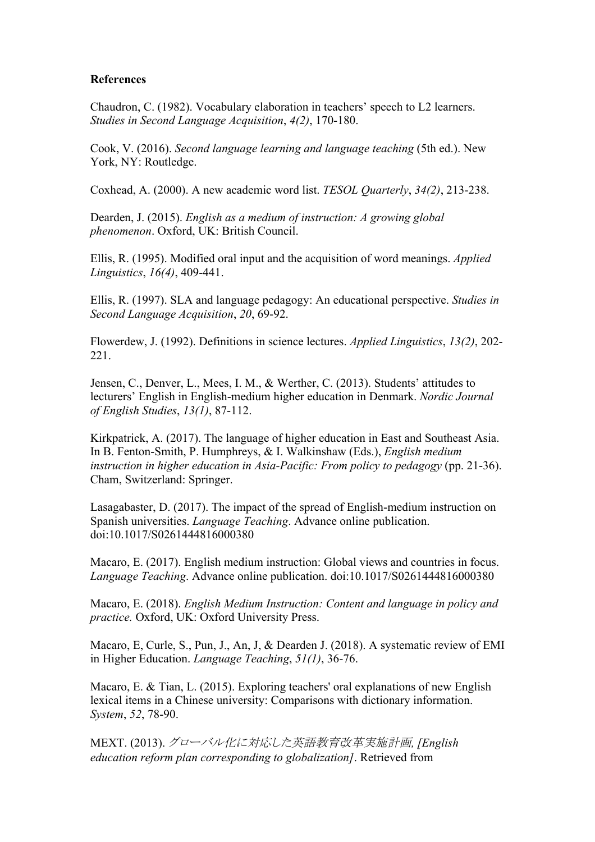## **References**

Chaudron, C. (1982). Vocabulary elaboration in teachers' speech to L2 learners. *Studies in Second Language Acquisition*, *4(2)*, 170-180.

Cook, V. (2016). *Second language learning and language teaching* (5th ed.). New York, NY: Routledge.

Coxhead, A. (2000). A new academic word list. *TESOL Quarterly*, *34(2)*, 213-238.

Dearden, J. (2015). *English as a medium of instruction: A growing global phenomenon*. Oxford, UK: British Council.

Ellis, R. (1995). Modified oral input and the acquisition of word meanings. *Applied Linguistics*, *16(4)*, 409-441.

Ellis, R. (1997). SLA and language pedagogy: An educational perspective. *Studies in Second Language Acquisition*, *20*, 69-92.

Flowerdew, J. (1992). Definitions in science lectures. *Applied Linguistics*, *13(2)*, 202- 221.

Jensen, C., Denver, L., Mees, I. M., & Werther, C. (2013). Students' attitudes to lecturers' English in English-medium higher education in Denmark. *Nordic Journal of English Studies*, *13(1)*, 87-112.

Kirkpatrick, A. (2017). The language of higher education in East and Southeast Asia. In B. Fenton-Smith, P. Humphreys, & I. Walkinshaw (Eds.), *English medium instruction in higher education in Asia-Pacific: From policy to pedagogy* (pp. 21-36). Cham, Switzerland: Springer.

Lasagabaster, D. (2017). The impact of the spread of English-medium instruction on Spanish universities. *Language Teaching*. Advance online publication. doi:10.1017/S0261444816000380

Macaro, E. (2017). English medium instruction: Global views and countries in focus. *Language Teaching*. Advance online publication. doi:10.1017/S0261444816000380

Macaro, E. (2018). *English Medium Instruction: Content and language in policy and practice.* Oxford, UK: Oxford University Press.

Macaro, E, Curle, S., Pun, J., An, J, & Dearden J. (2018). A systematic review of EMI in Higher Education. *Language Teaching*, *51(1)*, 36-76.

Macaro, E. & Tian, L. (2015). Exploring teachers' oral explanations of new English lexical items in a Chinese university: Comparisons with dictionary information. *System*, *52*, 78-90.

MEXT. (2013). グローバル化に対応した英語教育改革実施計画*, [English education reform plan corresponding to globalization]*. Retrieved from